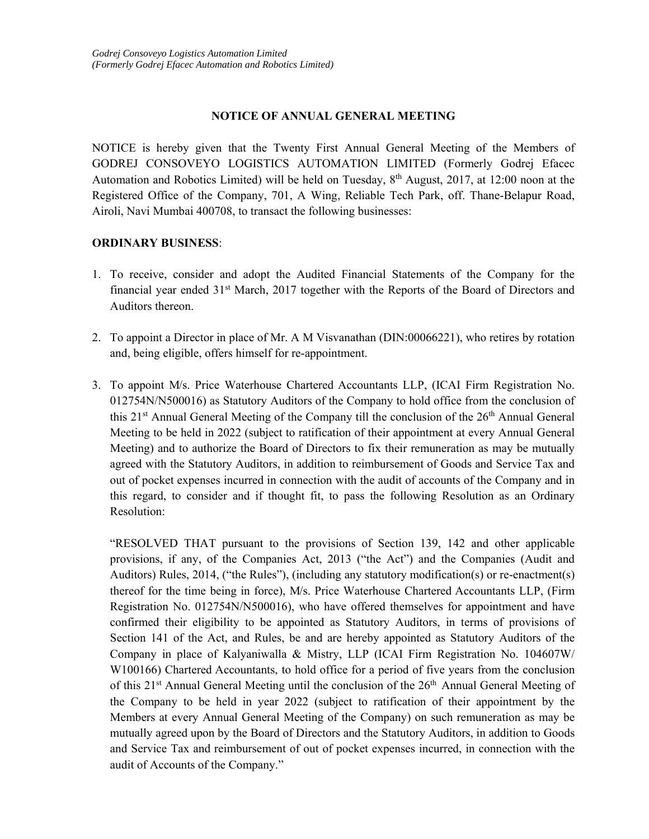# **NOTICE OF ANNUAL GENERAL MEETING**

NOTICE is hereby given that the Twenty First Annual General Meeting of the Members of GODREJ CONSOVEYO LOGISTICS AUTOMATION LIMITED (Formerly Godrej Efacec Automation and Robotics Limited) will be held on Tuesday, 8th August, 2017, at 12:00 noon at the Registered Office of the Company, 701, A Wing, Reliable Tech Park, off. Thane-Belapur Road, Airoli, Navi Mumbai 400708, to transact the following businesses:

# **ORDINARY BUSINESS**:

- 1. To receive, consider and adopt the Audited Financial Statements of the Company for the financial year ended 31st March, 2017 together with the Reports of the Board of Directors and Auditors thereon.
- 2. To appoint a Director in place of Mr. A M Visvanathan (DIN:00066221), who retires by rotation and, being eligible, offers himself for re-appointment.
- 3. To appoint M/s. Price Waterhouse Chartered Accountants LLP, (ICAI Firm Registration No. 012754N/N500016) as Statutory Auditors of the Company to hold office from the conclusion of this 21<sup>st</sup> Annual General Meeting of the Company till the conclusion of the 26<sup>th</sup> Annual General Meeting to be held in 2022 (subject to ratification of their appointment at every Annual General Meeting) and to authorize the Board of Directors to fix their remuneration as may be mutually agreed with the Statutory Auditors, in addition to reimbursement of Goods and Service Tax and out of pocket expenses incurred in connection with the audit of accounts of the Company and in this regard, to consider and if thought fit, to pass the following Resolution as an Ordinary Resolution:

"RESOLVED THAT pursuant to the provisions of Section 139, 142 and other applicable provisions, if any, of the Companies Act, 2013 ("the Act") and the Companies (Audit and Auditors) Rules, 2014, ("the Rules"), (including any statutory modification(s) or re-enactment(s) thereof for the time being in force), M/s. Price Waterhouse Chartered Accountants LLP, (Firm Registration No. 012754N/N500016), who have offered themselves for appointment and have confirmed their eligibility to be appointed as Statutory Auditors, in terms of provisions of Section 141 of the Act, and Rules, be and are hereby appointed as Statutory Auditors of the Company in place of Kalyaniwalla & Mistry, LLP (ICAI Firm Registration No. 104607W/ W100166) Chartered Accountants, to hold office for a period of five years from the conclusion of this 21<sup>st</sup> Annual General Meeting until the conclusion of the 26<sup>th</sup> Annual General Meeting of the Company to be held in year 2022 (subject to ratification of their appointment by the Members at every Annual General Meeting of the Company) on such remuneration as may be mutually agreed upon by the Board of Directors and the Statutory Auditors, in addition to Goods and Service Tax and reimbursement of out of pocket expenses incurred, in connection with the audit of Accounts of the Company."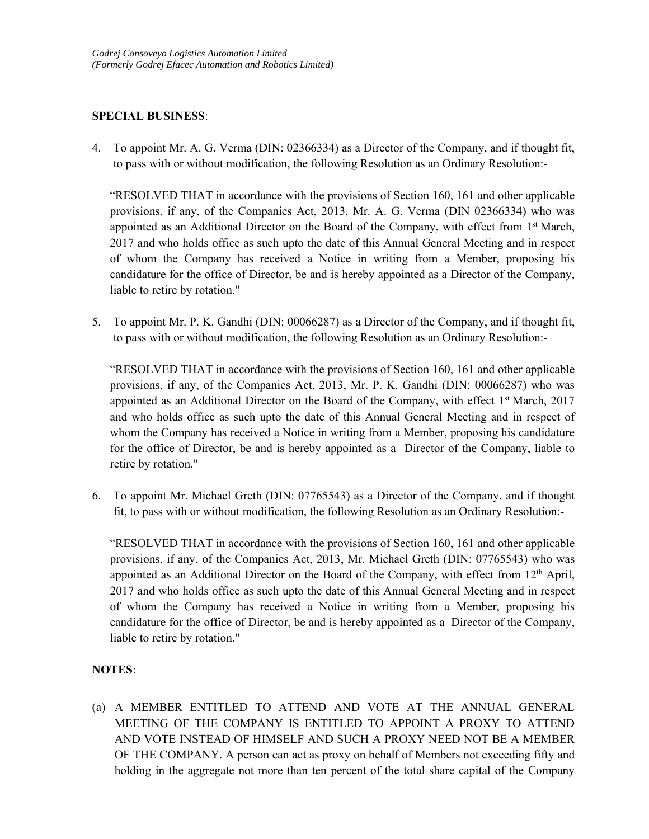### **SPECIAL BUSINESS**:

4. To appoint Mr. A. G. Verma (DIN: 02366334) as a Director of the Company, and if thought fit, to pass with or without modification, the following Resolution as an Ordinary Resolution:-

 "RESOLVED THAT in accordance with the provisions of Section 160, 161 and other applicable provisions, if any, of the Companies Act, 2013, Mr. A. G. Verma (DIN 02366334) who was appointed as an Additional Director on the Board of the Company, with effect from 1<sup>st</sup> March, 2017 and who holds office as such upto the date of this Annual General Meeting and in respect of whom the Company has received a Notice in writing from a Member, proposing his candidature for the office of Director, be and is hereby appointed as a Director of the Company, liable to retire by rotation."

5. To appoint Mr. P. K. Gandhi (DIN: 00066287) as a Director of the Company, and if thought fit, to pass with or without modification, the following Resolution as an Ordinary Resolution:-

 "RESOLVED THAT in accordance with the provisions of Section 160, 161 and other applicable provisions, if any, of the Companies Act, 2013, Mr. P. K. Gandhi (DIN: 00066287) who was appointed as an Additional Director on the Board of the Company, with effect 1<sup>st</sup> March, 2017 and who holds office as such upto the date of this Annual General Meeting and in respect of whom the Company has received a Notice in writing from a Member, proposing his candidature for the office of Director, be and is hereby appointed as a Director of the Company, liable to retire by rotation."

6. To appoint Mr. Michael Greth (DIN: 07765543) as a Director of the Company, and if thought fit, to pass with or without modification, the following Resolution as an Ordinary Resolution:-

 "RESOLVED THAT in accordance with the provisions of Section 160, 161 and other applicable provisions, if any, of the Companies Act, 2013, Mr. Michael Greth (DIN: 07765543) who was appointed as an Additional Director on the Board of the Company, with effect from 12<sup>th</sup> April, 2017 and who holds office as such upto the date of this Annual General Meeting and in respect of whom the Company has received a Notice in writing from a Member, proposing his candidature for the office of Director, be and is hereby appointed as a Director of the Company, liable to retire by rotation."

### **NOTES**:

(a) A MEMBER ENTITLED TO ATTEND AND VOTE AT THE ANNUAL GENERAL MEETING OF THE COMPANY IS ENTITLED TO APPOINT A PROXY TO ATTEND AND VOTE INSTEAD OF HIMSELF AND SUCH A PROXY NEED NOT BE A MEMBER OF THE COMPANY. A person can act as proxy on behalf of Members not exceeding fifty and holding in the aggregate not more than ten percent of the total share capital of the Company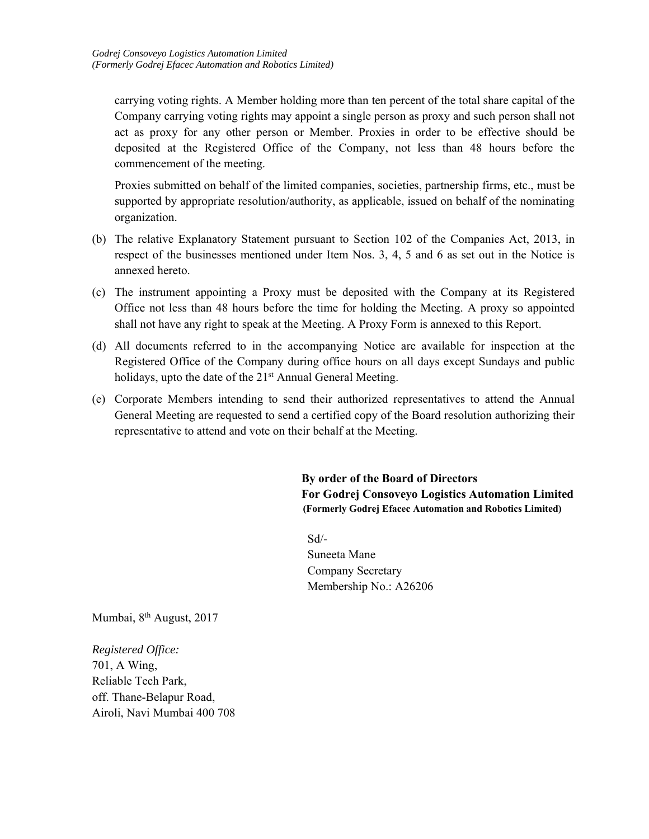carrying voting rights. A Member holding more than ten percent of the total share capital of the Company carrying voting rights may appoint a single person as proxy and such person shall not act as proxy for any other person or Member. Proxies in order to be effective should be deposited at the Registered Office of the Company, not less than 48 hours before the commencement of the meeting.

 Proxies submitted on behalf of the limited companies, societies, partnership firms, etc., must be supported by appropriate resolution/authority, as applicable, issued on behalf of the nominating organization.

- (b) The relative Explanatory Statement pursuant to Section 102 of the Companies Act, 2013, in respect of the businesses mentioned under Item Nos. 3, 4, 5 and 6 as set out in the Notice is annexed hereto.
- (c) The instrument appointing a Proxy must be deposited with the Company at its Registered Office not less than 48 hours before the time for holding the Meeting. A proxy so appointed shall not have any right to speak at the Meeting. A Proxy Form is annexed to this Report.
- (d) All documents referred to in the accompanying Notice are available for inspection at the Registered Office of the Company during office hours on all days except Sundays and public holidays, upto the date of the 21<sup>st</sup> Annual General Meeting.
- (e) Corporate Members intending to send their authorized representatives to attend the Annual General Meeting are requested to send a certified copy of the Board resolution authorizing their representative to attend and vote on their behalf at the Meeting.

 **By order of the Board of Directors For Godrej Consoveyo Logistics Automation Limited (Formerly Godrej Efacec Automation and Robotics Limited)** 

Sd/- Suneeta Mane Company Secretary Membership No.: A26206

Mumbai, 8th August, 2017

*Registered Office:*  701, A Wing, Reliable Tech Park, off. Thane-Belapur Road, Airoli, Navi Mumbai 400 708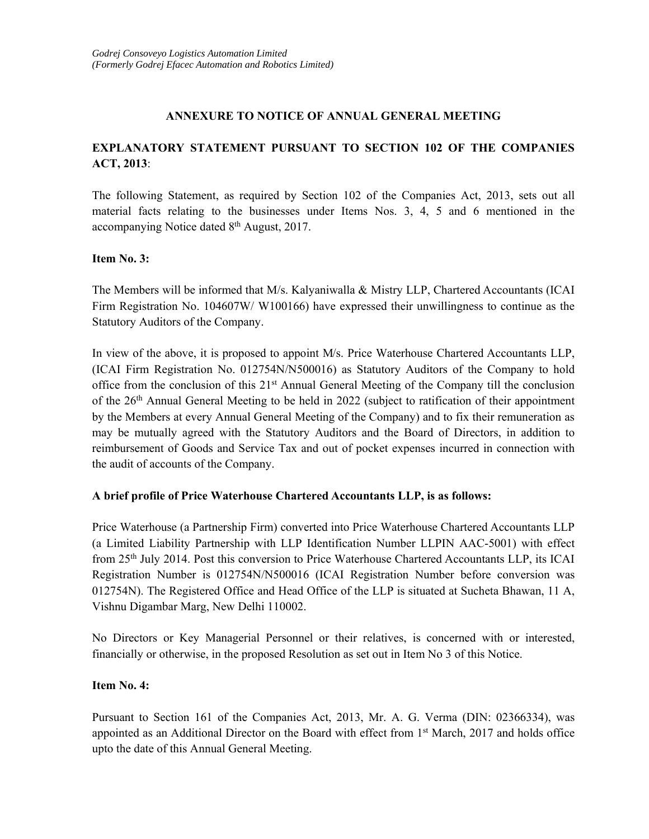### **ANNEXURE TO NOTICE OF ANNUAL GENERAL MEETING**

# **EXPLANATORY STATEMENT PURSUANT TO SECTION 102 OF THE COMPANIES ACT, 2013**:

The following Statement, as required by Section 102 of the Companies Act, 2013, sets out all material facts relating to the businesses under Items Nos. 3, 4, 5 and 6 mentioned in the accompanying Notice dated 8<sup>th</sup> August, 2017.

### **Item No. 3:**

The Members will be informed that M/s. Kalyaniwalla & Mistry LLP, Chartered Accountants (ICAI Firm Registration No. 104607W/ W100166) have expressed their unwillingness to continue as the Statutory Auditors of the Company.

In view of the above, it is proposed to appoint M/s. Price Waterhouse Chartered Accountants LLP, (ICAI Firm Registration No. 012754N/N500016) as Statutory Auditors of the Company to hold office from the conclusion of this 21st Annual General Meeting of the Company till the conclusion of the 26th Annual General Meeting to be held in 2022 (subject to ratification of their appointment by the Members at every Annual General Meeting of the Company) and to fix their remuneration as may be mutually agreed with the Statutory Auditors and the Board of Directors, in addition to reimbursement of Goods and Service Tax and out of pocket expenses incurred in connection with the audit of accounts of the Company.

### **A brief profile of Price Waterhouse Chartered Accountants LLP, is as follows:**

Price Waterhouse (a Partnership Firm) converted into Price Waterhouse Chartered Accountants LLP (a Limited Liability Partnership with LLP Identification Number LLPIN AAC-5001) with effect from 25th July 2014. Post this conversion to Price Waterhouse Chartered Accountants LLP, its ICAI Registration Number is 012754N/N500016 (ICAI Registration Number before conversion was 012754N). The Registered Office and Head Office of the LLP is situated at Sucheta Bhawan, 11 A, Vishnu Digambar Marg, New Delhi 110002.

No Directors or Key Managerial Personnel or their relatives, is concerned with or interested, financially or otherwise, in the proposed Resolution as set out in Item No 3 of this Notice.

### **Item No. 4:**

Pursuant to Section 161 of the Companies Act, 2013, Mr. A. G. Verma (DIN: 02366334), was appointed as an Additional Director on the Board with effect from 1<sup>st</sup> March, 2017 and holds office upto the date of this Annual General Meeting.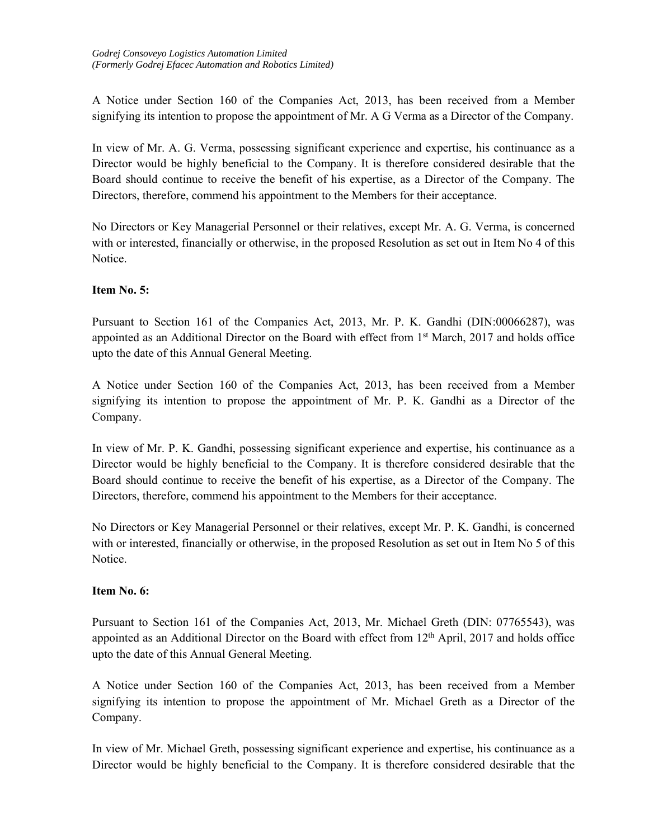A Notice under Section 160 of the Companies Act, 2013, has been received from a Member signifying its intention to propose the appointment of Mr. A G Verma as a Director of the Company.

In view of Mr. A. G. Verma, possessing significant experience and expertise, his continuance as a Director would be highly beneficial to the Company. It is therefore considered desirable that the Board should continue to receive the benefit of his expertise, as a Director of the Company. The Directors, therefore, commend his appointment to the Members for their acceptance.

No Directors or Key Managerial Personnel or their relatives, except Mr. A. G. Verma, is concerned with or interested, financially or otherwise, in the proposed Resolution as set out in Item No 4 of this Notice.

# **Item No. 5:**

Pursuant to Section 161 of the Companies Act, 2013, Mr. P. K. Gandhi (DIN:00066287), was appointed as an Additional Director on the Board with effect from 1<sup>st</sup> March, 2017 and holds office upto the date of this Annual General Meeting.

A Notice under Section 160 of the Companies Act, 2013, has been received from a Member signifying its intention to propose the appointment of Mr. P. K. Gandhi as a Director of the Company.

In view of Mr. P. K. Gandhi, possessing significant experience and expertise, his continuance as a Director would be highly beneficial to the Company. It is therefore considered desirable that the Board should continue to receive the benefit of his expertise, as a Director of the Company. The Directors, therefore, commend his appointment to the Members for their acceptance.

No Directors or Key Managerial Personnel or their relatives, except Mr. P. K. Gandhi, is concerned with or interested, financially or otherwise, in the proposed Resolution as set out in Item No 5 of this Notice.

### **Item No. 6:**

Pursuant to Section 161 of the Companies Act, 2013, Mr. Michael Greth (DIN: 07765543), was appointed as an Additional Director on the Board with effect from 12<sup>th</sup> April, 2017 and holds office upto the date of this Annual General Meeting.

A Notice under Section 160 of the Companies Act, 2013, has been received from a Member signifying its intention to propose the appointment of Mr. Michael Greth as a Director of the Company.

In view of Mr. Michael Greth, possessing significant experience and expertise, his continuance as a Director would be highly beneficial to the Company. It is therefore considered desirable that the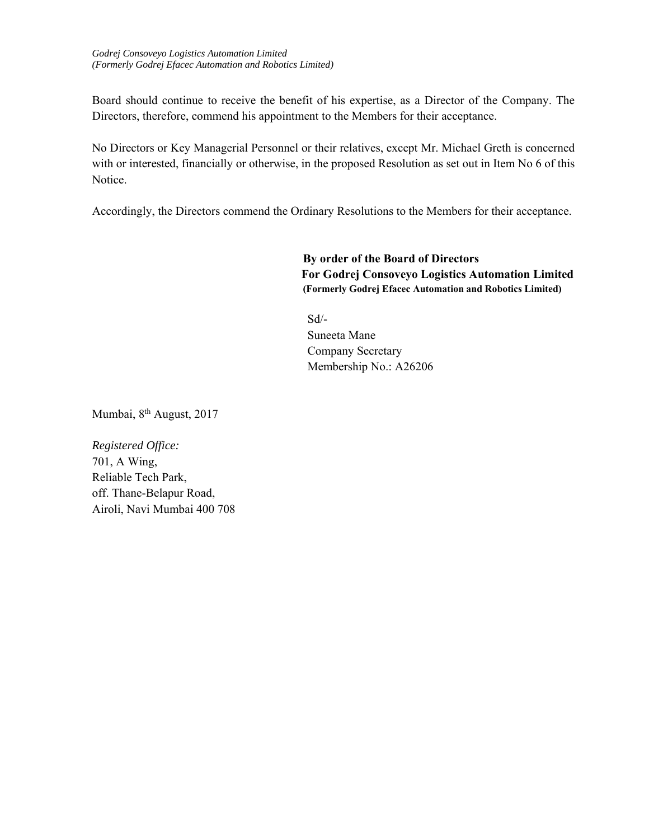Board should continue to receive the benefit of his expertise, as a Director of the Company. The Directors, therefore, commend his appointment to the Members for their acceptance.

No Directors or Key Managerial Personnel or their relatives, except Mr. Michael Greth is concerned with or interested, financially or otherwise, in the proposed Resolution as set out in Item No 6 of this Notice.

Accordingly, the Directors commend the Ordinary Resolutions to the Members for their acceptance.

**By order of the Board of Directors For Godrej Consoveyo Logistics Automation Limited (Formerly Godrej Efacec Automation and Robotics Limited)** 

Sd/- Suneeta Mane Company Secretary Membership No.: A26206

Mumbai, 8<sup>th</sup> August, 2017

*Registered Office:*  701, A Wing, Reliable Tech Park, off. Thane-Belapur Road, Airoli, Navi Mumbai 400 708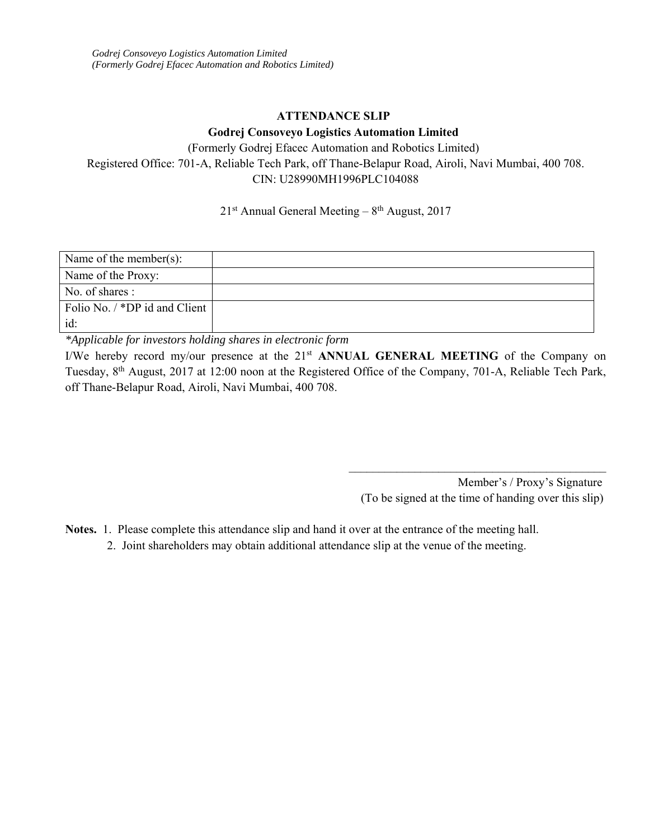# **ATTENDANCE SLIP Godrej Consoveyo Logistics Automation Limited**

(Formerly Godrej Efacec Automation and Robotics Limited) Registered Office: 701-A, Reliable Tech Park, off Thane-Belapur Road, Airoli, Navi Mumbai, 400 708. CIN: U28990MH1996PLC104088

 $21<sup>st</sup>$  Annual General Meeting –  $8<sup>th</sup>$  August, 2017

| Name of the member(s):        |  |
|-------------------------------|--|
| Name of the Proxy:            |  |
| No. of shares :               |  |
| Folio No. / *DP id and Client |  |
| id:                           |  |

*\*Applicable for investors holding shares in electronic form* 

I/We hereby record my/our presence at the 21st **ANNUAL GENERAL MEETING** of the Company on Tuesday, 8th August, 2017 at 12:00 noon at the Registered Office of the Company, 701-A, Reliable Tech Park, off Thane-Belapur Road, Airoli, Navi Mumbai, 400 708.

> Member's / Proxy's Signature (To be signed at the time of handing over this slip)

 $\mathcal{L}_\text{max}$  and the contract of the contract of the contract of the contract of the contract of the contract of the contract of the contract of the contract of the contract of the contract of the contract of the contrac

- **Notes.** 1. Please complete this attendance slip and hand it over at the entrance of the meeting hall.
	- 2. Joint shareholders may obtain additional attendance slip at the venue of the meeting.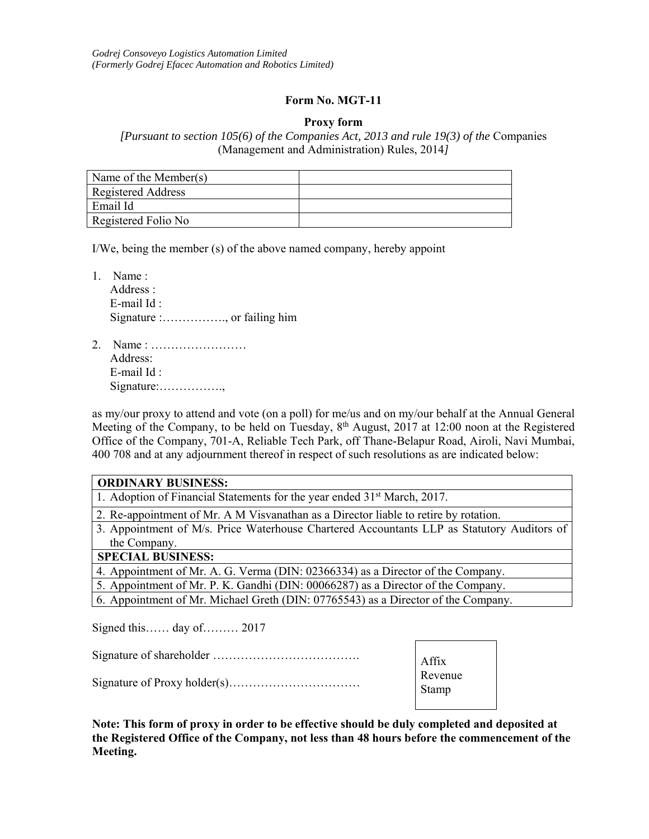#### **Form No. MGT-11**

#### **Proxy form**

*[Pursuant to section 105(6) of the Companies Act, 2013 and rule 19(3) of the* Companies (Management and Administration) Rules, 2014*]* 

| Name of the Member(s) |  |
|-----------------------|--|
| Registered Address    |  |
| Email Id              |  |
| Registered Folio No   |  |

I/We, being the member (s) of the above named company, hereby appoint

1. Name : Address : E-mail Id : Signature :……………., or failing him

2. Name : …………………… Address: E-mail Id : Signature:…………….,

as my/our proxy to attend and vote (on a poll) for me/us and on my/our behalf at the Annual General Meeting of the Company, to be held on Tuesday, 8<sup>th</sup> August, 2017 at 12:00 noon at the Registered Office of the Company, 701-A, Reliable Tech Park, off Thane-Belapur Road, Airoli, Navi Mumbai, 400 708 and at any adjournment thereof in respect of such resolutions as are indicated below:

Signed this…… day of……… 2017

Signature of shareholder ……………………………….

Signature of Proxy holder(s)……………………………

| A ffix  |
|---------|
| Revenue |
| Stamp   |
|         |

**Note: This form of proxy in order to be effective should be duly completed and deposited at the Registered Office of the Company, not less than 48 hours before the commencement of the Meeting.**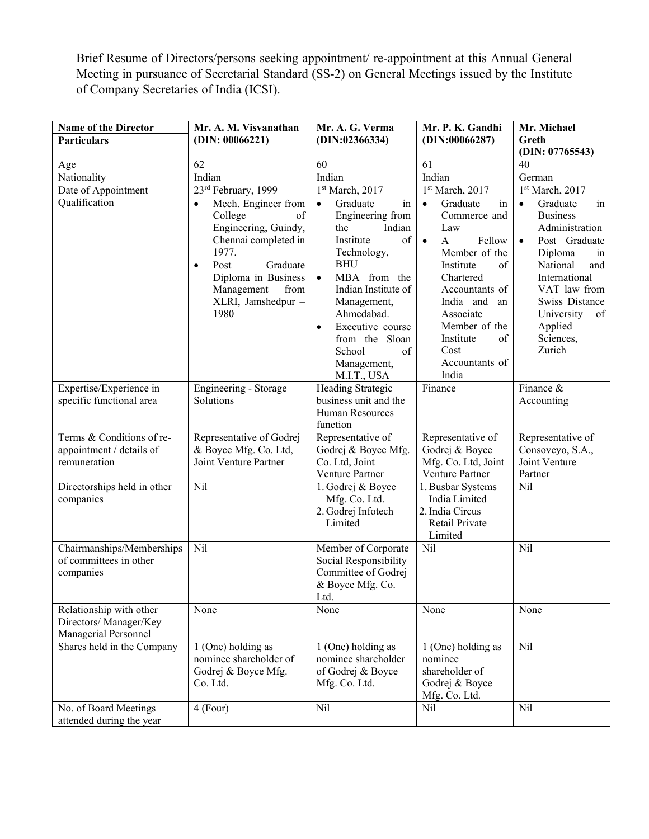Brief Resume of Directors/persons seeking appointment/ re-appointment at this Annual General Meeting in pursuance of Secretarial Standard (SS-2) on General Meetings issued by the Institute of Company Secretaries of India (ICSI).

| <b>Name of the Director</b>                       | Mr. A. M. Visvanathan            | Mr. A. G. Verma               | Mr. P. K. Gandhi                    | Mr. Michael                 |
|---------------------------------------------------|----------------------------------|-------------------------------|-------------------------------------|-----------------------------|
| <b>Particulars</b>                                | (DIN: 00066221)                  | (DIN:02366334)                | (DIN:00066287)                      | Greth                       |
|                                                   |                                  |                               |                                     | (DIN: 07765543)             |
| Age                                               | 62                               | 60                            | 61                                  | 40                          |
| Nationality                                       | Indian                           | Indian                        | Indian                              | German                      |
| Date of Appointment                               | 23rd February, 1999              | 1 <sup>st</sup> March, 2017   | 1st March, 2017                     | 1st March, 2017             |
| Qualification                                     | Mech. Engineer from<br>$\bullet$ | Graduate<br>in<br>$\bullet$   | Graduate<br>$\bullet$<br>in         | in<br>Graduate<br>$\bullet$ |
|                                                   | College<br>of                    | Engineering from              | Commerce and                        | <b>Business</b>             |
|                                                   | Engineering, Guindy,             | the<br>Indian                 | Law                                 | Administration              |
|                                                   | Chennai completed in             | Institute<br>of               | $\mathbf{A}$<br>Fellow<br>$\bullet$ | Post Graduate               |
|                                                   | 1977.                            | Technology,                   | Member of the                       | Diploma<br>in               |
|                                                   | Graduate<br>Post<br>$\bullet$    | <b>BHU</b>                    | Institute<br>of                     | National<br>and             |
|                                                   | Diploma in Business              | MBA from the<br>$\bullet$     | Chartered                           | International               |
|                                                   | Management<br>from               | Indian Institute of           | Accountants of                      | VAT law from                |
|                                                   | XLRI, Jamshedpur -               | Management,                   | India and an                        | Swiss Distance              |
|                                                   | 1980                             | Ahmedabad.                    | Associate                           | University<br>of            |
|                                                   |                                  | Executive course<br>$\bullet$ | Member of the                       | Applied                     |
|                                                   |                                  | from the Sloan                | of<br>Institute<br>Cost             | Sciences,<br>Zurich         |
|                                                   |                                  | School<br>of                  | Accountants of                      |                             |
|                                                   |                                  | Management,<br>M.I.T., USA    | India                               |                             |
| Expertise/Experience in                           | Engineering - Storage            | Heading Strategic             | Finance                             | Finance &                   |
| specific functional area                          | Solutions                        | business unit and the         |                                     | Accounting                  |
|                                                   |                                  | Human Resources               |                                     |                             |
|                                                   |                                  | function                      |                                     |                             |
| Terms & Conditions of re-                         | Representative of Godrej         | Representative of             | Representative of                   | Representative of           |
| appointment / details of                          | & Boyce Mfg. Co. Ltd,            | Godrej & Boyce Mfg.           | Godrej & Boyce                      | Consoveyo, S.A.,            |
| remuneration                                      | Joint Venture Partner            | Co. Ltd, Joint                | Mfg. Co. Ltd, Joint                 | Joint Venture               |
|                                                   |                                  | Venture Partner               | Venture Partner                     | Partner                     |
| Directorships held in other                       | Nil                              | 1. Godrej & Boyce             | 1. Busbar Systems                   | Nil                         |
| companies                                         |                                  | Mfg. Co. Ltd.                 | India Limited                       |                             |
|                                                   |                                  | 2. Godrej Infotech            | 2. India Circus                     |                             |
|                                                   |                                  | Limited                       | Retail Private                      |                             |
|                                                   |                                  |                               | Limited                             |                             |
| Chairmanships/Memberships                         | Nil                              | Member of Corporate           | Nil                                 | Nil                         |
| of committees in other                            |                                  | Social Responsibility         |                                     |                             |
| companies                                         |                                  | Committee of Godrej           |                                     |                             |
|                                                   |                                  | & Boyce Mfg. Co.              |                                     |                             |
|                                                   |                                  | Ltd.                          | None                                | None                        |
| Relationship with other<br>Directors/ Manager/Key | None                             | None                          |                                     |                             |
| Managerial Personnel                              |                                  |                               |                                     |                             |
| Shares held in the Company                        | 1 (One) holding as               | 1 (One) holding as            | 1 (One) holding as                  | Nil                         |
|                                                   | nominee shareholder of           | nominee shareholder           | nominee                             |                             |
|                                                   | Godrej & Boyce Mfg.              | of Godrej & Boyce             | shareholder of                      |                             |
|                                                   | Co. Ltd.                         | Mfg. Co. Ltd.                 | Godrej & Boyce                      |                             |
|                                                   |                                  |                               | Mfg. Co. Ltd.                       |                             |
| No. of Board Meetings                             | $4$ (Four)                       | Nil                           | Nil                                 | Nil                         |
| attended during the year                          |                                  |                               |                                     |                             |